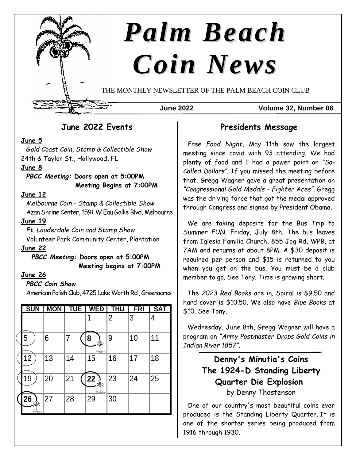

THE MONTHLY NEWSLETTER OF THE PALM BEACH COIN CLUB

#### **June 2022 Volume 32, Number 06**

## **June 2022 Events**

### **June 5**

*Gold Coast Coin, Stamp & Collectible Show* 24th & Taylor St., Hollywood, FL

### **June 8**

*PBCC Meeting:* **Doors open at 5:00PM Meeting Begins at 7:00PM**

### **June 12**

*Melbourne Coin - Stamp & Collectible Show* Azan Shrine Center, 1591 W Eau Gallie Blvd, Melbourne

#### **June 19**

*Ft. Lauderdale Coin and Stamp Show* Volunteer Park Community Center, Plantation

## **June 22**

*PBCC Meeting:* **Doors open at 5:00PM Meeting begins at 7:00PM**

#### **June 26**

#### *PBCC Coin Show*

American Polish Club, 4725 Lake Worth Rd., Greenacres

| <b>SUN</b> | <b>MON</b> | <b>TUE</b> | <b>WED</b>      | <b>THU</b>     | <b>FRI</b> | <b>SAT</b> |
|------------|------------|------------|-----------------|----------------|------------|------------|
|            |            |            |                 | $\overline{2}$ | 3          | 4          |
| 5          | 6          | 7          | 8               | 9              | 10         | 11         |
| 12         | 13         | 14         | 15              | 16             | 17         | 18         |
| 19         | 20         | 21         | $\overline{22}$ | 23             | 24         | 25         |
| 26         | 27         | 28         | 29              | 30             |            |            |

## **Presidents Message**

*Free Food Night,* May 11th saw the largest meeting since covid with 93 attending. We had plenty of food and I had a power point on *"So-Called Dollars"*. If you missed the meeting before that, Gregg Wagner gave a great presentation on *"Congressional Gold Medals - Fighter Aces"*. Gregg was the driving force that got the medal approved through Congress and signed by President Obama.

We are taking deposits for the Bus Trip to *Summer FUN*, Friday, July 8th. The bus leaves from Iglesia Familia Church, 855 Jog Rd, WPB, at 7AM and returns at about 8PM. A \$30 deposit is required per person and \$15 is returned to you when you get on the bus. You must be a club member to go. See Tony. Time is growing short.

The *2023 Red Books* are in. Spiral is \$9.50 and hard cover is \$10.50. We also have *Blue Books* at \$10. See Tony.

Wednesday, June 8th, Gregg Wagner will have a program on *"Army Postmaster Drops Gold Coins in Indian River 1857"*.

# **Denny's Minutia's Coins The 1924-D Standing Liberty Quarter Die Explosion** by Denny Thostenson

One of our country's most beautiful coins ever produced is the Standing Liberty Quarter. It is one of the shorter series being produced from 1916 through 1930.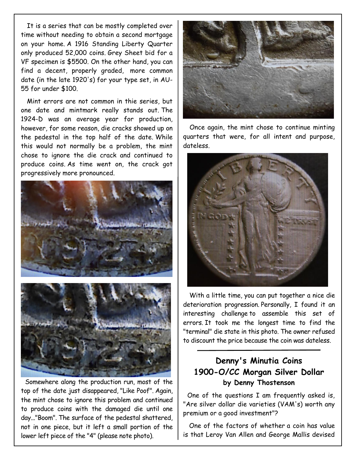It is a series that can be mostly completed over time without needing to obtain a second mortgage on your home. A 1916 Standing Liberty Quarter only produced 52,000 coins. Grey Sheet bid for a VF specimen is \$5500. On the other hand, you can find a decent, properly graded, more common date (in the late 1920's) for your type set, in AU-55 for under \$100.

Mint errors are not common in thie series, but one date and mintmark really stands out. The 1924-D was an average year for production, however, for some reason, die cracks showed up on the pedestal in the top half of the date. While this would not normally be a problem, the mint chose to ignore the die crack and continued to produce coins. As time went on, the crack got progressively more pronounced.





Somewhere along the production run, most of the top of the date just disappeared, "Like Poof". Again, the mint chose to ignore this problem and continued to produce coins with the damaged die until one day..."Boom". The surface of the pedestal shattered, not in one piece, but it left a small portion of the lower left piece of the "4" (please note photo).



Once again, the mint chose to continue minting quarters that were, for all intent and purpose, dateless.



With a little time, you can put together a nice die deterioration progression. Personally, I found it an interesting challenge to assemble this set of errors. It took me the longest time to find the "terminal" die state in this photo. The owner refused to discount the price because the coin was dateless.

## **Denny's Minutia Coins 1900-O/CC Morgan Silver Dollar by Denny Thostenson**

One of the questions I am frequently asked is, "Are silver dollar die varieties (VAM's) worth any premium or a good investment"?

One of the factors of whether a coin has value is that Leroy Van Allen and George Mallis devised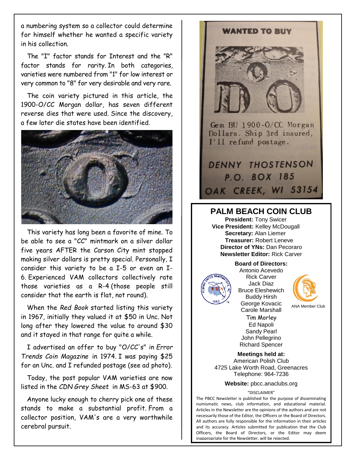a numbering system so a collector could determine for himself whether he wanted a specific variety in his collection.

The "I" factor stands for Interest and the "R" factor stands for rarity. In both categories, varieties were numbered from "1" for low interest or very common to "8" for very desirable and very rare.

The coin variety pictured in this article, the 1900-O/CC Morgan dollar, has seven different reverse dies that were used. Since the discovery, a few later die states have been identified.



This variety has long been a favorite of mine. To be able to see a "CC" mintmark on a silver dollar five years AFTER the Carson City mint stopped making silver dollars is pretty special. Personally, I consider this variety to be a I-5 or even an I-6. Experienced VAM collectors collectively rate those varieties as a R-4 (those people still consider that the earth is flat, not round).

When the *Red Book* started listing this variety in 1967, initially they valued it at \$50 in Unc. Not long after they lowered the value to around \$30 and it stayed in that range for quite a while.

I advertised an offer to buy "O/CC's" in *Error Trends Coin Magazine* in 1974. I was paying \$25 for an Unc. and I refunded postage (see ad photo).

Today, the post popular VAM varieties are now listed in the *CDN Grey Sheet* in MS-63 at \$900.

Anyone lucky enough to cherry pick one of these stands to make a substantial profit. From a collector position, VAM's are a very worthwhile cerebral pursuit.



### **PALM BEACH COIN CLUB**

**President:** Tony Swicer **Vice President:** Kelley McDougall **Secretary:** Alan Liemer **Treasurer:** Robert Leneve **Director of YNs:** Dan Pecoraro **Newsletter Editor:** Rick Carver

**Board of Directors:**



Antonio Acevedo Rick Carver Jack Diaz Bruce Eleshewich Buddy Hirsh George Kovacic Carole Marshall Tim Morley Ed Napoli Sandy Pearl John Pellegrino Richard Spencer



ANA Member Club

**Meetings held at:** American Polish Club 4725 Lake Worth Road, Greenacres Telephone: 964-7236

**Website:** pbcc.anaclubs.org

#### "DISCLAIMER"

The PBCC Newsletter is published for the purpose of disseminating numismatic news, club information, and educational material. Articles in the Newsletter are the opinions of the authors and are not necessarily those of the Editor, the Officers or the Board of Directors. All authors are fully responsible for the information in their articles and its accuracy. Articles submitted for publication that the Club Officers, the Board of Directors, or the Editor may deem inappropriate for the Newsletter, will be rejected.